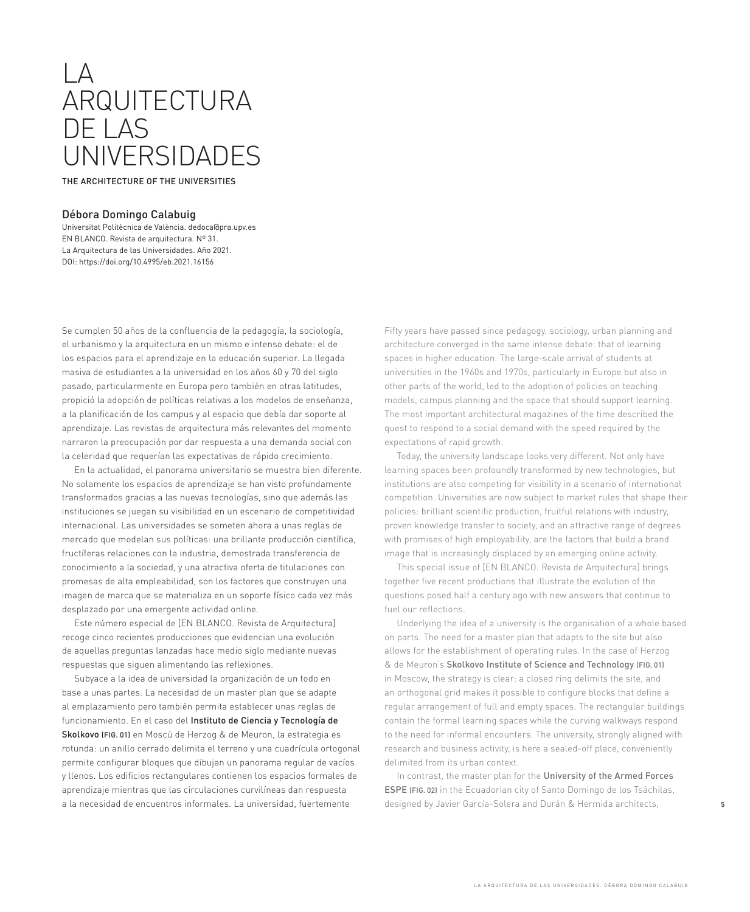## $\overline{A}$ ARQUITECTURA DE LAS UNIVERSIDADES

THE ARCHITECTURE OF THE UNIVERSITIES

## Débora Domingo Calabuig

Universitat Politècnica de València. dedoca@pra.upv.es EN BLANCO. Revista de arquitectura. Nº 31. La Arquitectura de las Universidades. Año 2021. DOI: https://doi.org/10.4995/eb.2021.16156

Se cumplen 50 años de la confluencia de la pedagogía, la sociología, el urbanismo y la arquitectura en un mismo e intenso debate: el de los espacios para el aprendizaje en la educación superior. La llegada masiva de estudiantes a la universidad en los años 60 y 70 del siglo pasado, particularmente en Europa pero también en otras latitudes, propició la adopción de políticas relativas a los modelos de enseñanza, a la planificación de los campus y al espacio que debía dar soporte al aprendizaje. Las revistas de arquitectura más relevantes del momento narraron la preocupación por dar respuesta a una demanda social con la celeridad que requerían las expectativas de rápido crecimiento.

En la actualidad, el panorama universitario se muestra bien diferente. No solamente los espacios de aprendizaje se han visto profundamente transformados gracias a las nuevas tecnologías, sino que además las instituciones se juegan su visibilidad en un escenario de competitividad internacional. Las universidades se someten ahora a unas reglas de mercado que modelan sus políticas: una brillante producción científica, fructíferas relaciones con la industria, demostrada transferencia de conocimiento a la sociedad, y una atractiva oferta de titulaciones con promesas de alta empleabilidad, son los factores que construyen una imagen de marca que se materializa en un soporte físico cada vez más desplazado por una emergente actividad online.

Este número especial de [EN BLANCO. Revista de Arquitectura] recoge cinco recientes producciones que evidencian una evolución de aquellas preguntas lanzadas hace medio siglo mediante nuevas respuestas que siguen alimentando las reflexiones.

Subyace a la idea de universidad la organización de un todo en base a unas partes. La necesidad de un master plan que se adapte al emplazamiento pero también permita establecer unas reglas de funcionamiento. En el caso del Instituto de Ciencia y Tecnología de Skolkovo (FIG. 01) en Moscú de Herzog & de Meuron, la estrategia es rotunda: un anillo cerrado delimita el terreno y una cuadrícula ortogonal permite configurar bloques que dibujan un panorama regular de vacíos y llenos. Los edificios rectangulares contienen los espacios formales de aprendizaje mientras que las circulaciones curvilíneas dan respuesta a la necesidad de encuentros informales. La universidad, fuertemente

Fifty years have passed since pedagogy, sociology, urban planning and architecture converged in the same intense debate: that of learning spaces in higher education. The large-scale arrival of students at universities in the 1960s and 1970s, particularly in Europe but also in other parts of the world, led to the adoption of policies on teaching models, campus planning and the space that should support learning. The most important architectural magazines of the time described the quest to respond to a social demand with the speed required by the expectations of rapid growth.

Today, the university landscape looks very different. Not only have learning spaces been profoundly transformed by new technologies, but institutions are also competing for visibility in a scenario of international competition. Universities are now subject to market rules that shape their policies: brilliant scientific production, fruitful relations with industry, proven knowledge transfer to society, and an attractive range of degrees with promises of high employability, are the factors that build a brand image that is increasingly displaced by an emerging online activity.

This special issue of [EN BLANCO. Revista de Arquitectura] brings together five recent productions that illustrate the evolution of the questions posed half a century ago with new answers that continue to fuel our reflections.

Underlying the idea of a university is the organisation of a whole based on parts. The need for a master plan that adapts to the site but also allows for the establishment of operating rules. In the case of Herzog & de Meuron's Skolkovo Institute of Science and Technology (FIG. 01) in Moscow, the strategy is clear: a closed ring delimits the site, and an orthogonal grid makes it possible to configure blocks that define a regular arrangement of full and empty spaces. The rectangular buildings contain the formal learning spaces while the curving walkways respond to the need for informal encounters. The university, strongly aligned with research and business activity, is here a sealed-off place, conveniently delimited from its urban context.

In contrast, the master plan for the University of the Armed Forces ESPE (FIG. 02) in the Ecuadorian city of Santo Domingo de los Tsáchilas, designed by Javier García-Solera and Durán & Hermida architects,

5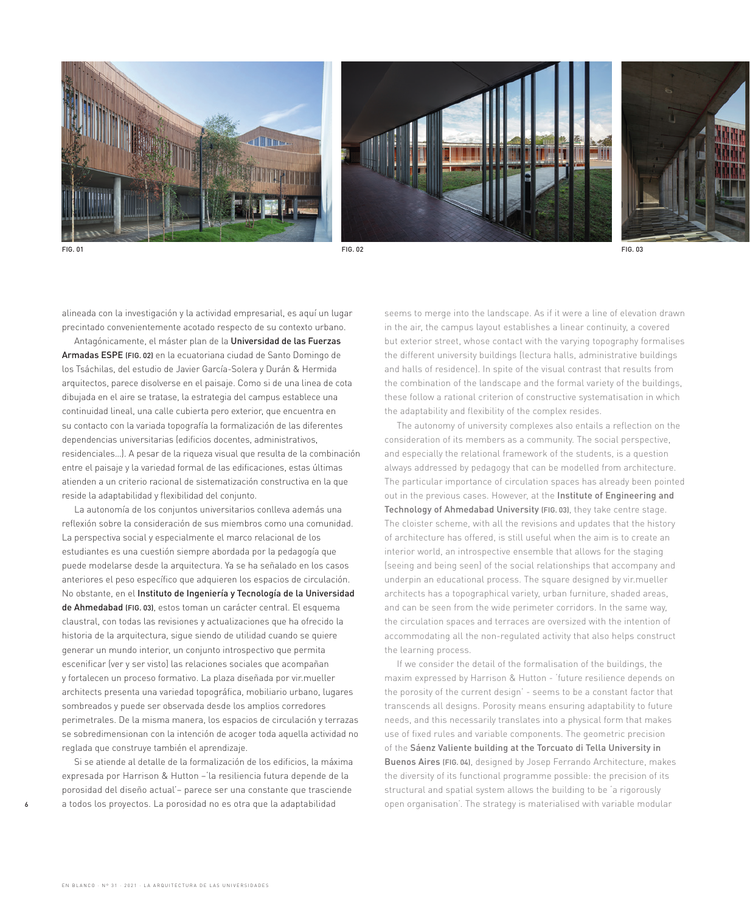





FIG. 01 FIG. 02 FIG. 03

alineada con la investigación y la actividad empresarial, es aquí un lugar precintado convenientemente acotado respecto de su contexto urbano.

Antagónicamente, el máster plan de la Universidad de las Fuerzas Armadas ESPE (FIG. 02) en la ecuatoriana ciudad de Santo Domingo de los Tsáchilas, del estudio de Javier García-Solera y Durán & Hermida arquitectos, parece disolverse en el paisaje. Como si de una linea de cota dibujada en el aire se tratase, la estrategia del campus establece una continuidad lineal, una calle cubierta pero exterior, que encuentra en su contacto con la variada topografía la formalización de las diferentes dependencias universitarias (edificios docentes, administrativos, residenciales…). A pesar de la riqueza visual que resulta de la combinación entre el paisaje y la variedad formal de las edificaciones, estas últimas atienden a un criterio racional de sistematización constructiva en la que reside la adaptabilidad y flexibilidad del conjunto.

La autonomía de los conjuntos universitarios conlleva además una reflexión sobre la consideración de sus miembros como una comunidad. La perspectiva social y especialmente el marco relacional de los estudiantes es una cuestión siempre abordada por la pedagogía que puede modelarse desde la arquitectura. Ya se ha señalado en los casos anteriores el peso específico que adquieren los espacios de circulación. No obstante, en el Instituto de Ingeniería y Tecnología de la Universidad de Ahmedabad (FIG. 03), estos toman un carácter central. El esquema claustral, con todas las revisiones y actualizaciones que ha ofrecido la historia de la arquitectura, sigue siendo de utilidad cuando se quiere generar un mundo interior, un conjunto introspectivo que permita escenificar (ver y ser visto) las relaciones sociales que acompañan y fortalecen un proceso formativo. La plaza diseñada por vir.mueller architects presenta una variedad topográfica, mobiliario urbano, lugares sombreados y puede ser observada desde los amplios corredores perimetrales. De la misma manera, los espacios de circulación y terrazas se sobredimensionan con la intención de acoger toda aquella actividad no reglada que construye también el aprendizaje.

Si se atiende al detalle de la formalización de los edificios, la máxima expresada por Harrison & Hutton –'la resiliencia futura depende de la porosidad del diseño actual'– parece ser una constante que trasciende a todos los proyectos. La porosidad no es otra que la adaptabilidad

seems to merge into the landscape. As if it were a line of elevation drawn in the air, the campus layout establishes a linear continuity, a covered but exterior street, whose contact with the varying topography formalises the different university buildings (lectura halls, administrative buildings and halls of residence). In spite of the visual contrast that results from the combination of the landscape and the formal variety of the buildings, these follow a rational criterion of constructive systematisation in which the adaptability and flexibility of the complex resides.

The autonomy of university complexes also entails a reflection on the consideration of its members as a community. The social perspective, and especially the relational framework of the students, is a question always addressed by pedagogy that can be modelled from architecture. The particular importance of circulation spaces has already been pointed out in the previous cases. However, at the Institute of Engineering and Technology of Ahmedabad University (FIG. 03), they take centre stage. The cloister scheme, with all the revisions and updates that the history of architecture has offered, is still useful when the aim is to create an interior world, an introspective ensemble that allows for the staging (seeing and being seen) of the social relationships that accompany and underpin an educational process. The square designed by vir.mueller architects has a topographical variety, urban furniture, shaded areas, and can be seen from the wide perimeter corridors. In the same way, the circulation spaces and terraces are oversized with the intention of accommodating all the non-regulated activity that also helps construct the learning process.

If we consider the detail of the formalisation of the buildings, the maxim expressed by Harrison & Hutton - 'future resilience depends on the porosity of the current design' - seems to be a constant factor that transcends all designs. Porosity means ensuring adaptability to future needs, and this necessarily translates into a physical form that makes use of fixed rules and variable components. The geometric precision of the Sáenz Valiente building at the Torcuato di Tella University in Buenos Aires (FIG. 04), designed by Josep Ferrando Architecture, makes the diversity of its functional programme possible: the precision of its structural and spatial system allows the building to be 'a rigorously open organisation'. The strategy is materialised with variable modular

6